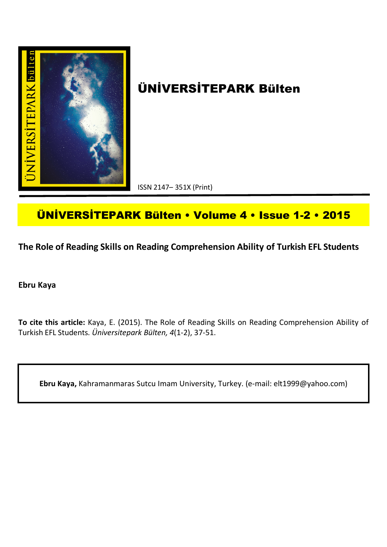

# **ÜNİVERSİTEPARK Bülten**

ISSN 2147– 351X (Print)

## **ÜNİVERSİTEPARK Bülten • Volume 4 • Issue 1-2 • 2015**

**The Role of Reading Skills on Reading Comprehension Ability of Turkish EFL Students**

**Ebru Kaya**

**To cite this article:** Kaya, E. (2015). The Role of Reading Skills on Reading Comprehension Ability of Turkish EFL Students. *Üniversitepark Bülten, 4*(1-2), 37-51.

**Ebru Kaya,** Kahramanmaras Sutcu Imam University, Turkey. (e-mail: elt1999@yahoo.com)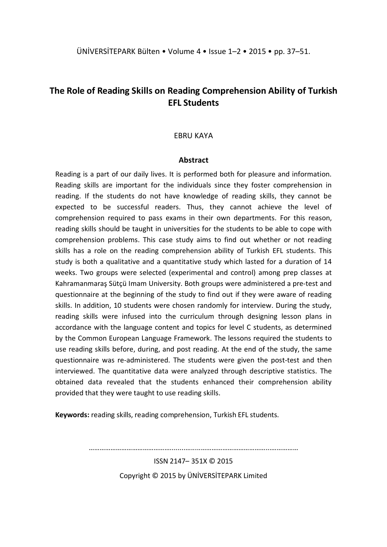### **The Role of Reading Skills on Reading Comprehension Ability of Turkish EFL Students**

#### EBRU KAYA

#### **Abstract**

Reading is a part of our daily lives. It is performed both for pleasure and information. Reading skills are important for the individuals since they foster comprehension in reading. If the students do not have knowledge of reading skills, they cannot be expected to be successful readers. Thus, they cannot achieve the level of comprehension required to pass exams in their own departments. For this reason, reading skills should be taught in universities for the students to be able to cope with comprehension problems. This case study aims to find out whether or not reading skills has a role on the reading comprehension ability of Turkish EFL students. This study is both a qualitative and a quantitative study which lasted for a duration of 14 weeks. Two groups were selected (experimental and control) among prep classes at Kahramanmaraş Sütçü Imam University. Both groups were administered a pre-test and questionnaire at the beginning of the study to find out if they were aware of reading skills. In addition, 10 students were chosen randomly for interview. During the study, reading skills were infused into the curriculum through designing lesson plans in accordance with the language content and topics for level C students, as determined by the Common European Language Framework. The lessons required the students to use reading skills before, during, and post reading. At the end of the study, the same questionnaire was re-administered. The students were given the post-test and then interviewed. The quantitative data were analyzed through descriptive statistics. The obtained data revealed that the students enhanced their comprehension ability provided that they were taught to use reading skills.

**Keywords:** reading skills, reading comprehension, Turkish EFL students.

………………………………………........….....………………………………...……………

ISSN 2147– 351X © 2015

Copyright © 2015 by ÜNİVERSİTEPARK Limited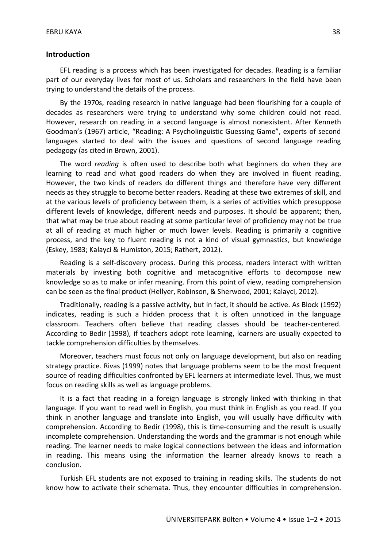#### **Introduction**

EFL reading is a process which has been investigated for decades. Reading is a familiar part of our everyday lives for most of us. Scholars and researchers in the field have been trying to understand the details of the process.

By the 1970s, reading research in native language had been flourishing for a couple of decades as researchers were trying to understand why some children could not read. However, research on reading in a second language is almost nonexistent. After Kenneth Goodman's (1967) article, "Reading: A Psycholinguistic Guessing Game", experts of second languages started to deal with the issues and questions of second language reading pedagogy (as cited in Brown, 2001).

The word *reading* is often used to describe both what beginners do when they are learning to read and what good readers do when they are involved in fluent reading. However, the two kinds of readers do different things and therefore have very different needs as they struggle to become better readers. Reading at these two extremes of skill, and at the various levels of proficiency between them, is a series of activities which presuppose different levels of knowledge, different needs and purposes. It should be apparent; then, that what may be true about reading at some particular level of proficiency may not be true at all of reading at much higher or much lower levels. Reading is primarily a cognitive process, and the key to fluent reading is not a kind of visual gymnastics, but knowledge (Eskey, 1983; Kalayci & Humiston, 2015; Rathert, 2012).

Reading is a self-discovery process. During this process, readers interact with written materials by investing both cognitive and metacognitive efforts to decompose new knowledge so as to make or infer meaning. From this point of view, reading comprehension can be seen as the final product (Hellyer, Robinson, & Sherwood, 2001; Kalayci, 2012).

Traditionally, reading is a passive activity, but in fact, it should be active. As Block (1992) indicates, reading is such a hidden process that it is often unnoticed in the language classroom. Teachers often believe that reading classes should be teacher-centered. According to Bedir (1998), if teachers adopt rote learning, learners are usually expected to tackle comprehension difficulties by themselves.

Moreover, teachers must focus not only on language development, but also on reading strategy practice. Rivas (1999) notes that language problems seem to be the most frequent source of reading difficulties confronted by EFL learners at intermediate level. Thus, we must focus on reading skills as well as language problems.

It is a fact that reading in a foreign language is strongly linked with thinking in that language. If you want to read well in English, you must think in English as you read. If you think in another language and translate into English, you will usually have difficulty with comprehension. According to Bedir (1998), this is time-consuming and the result is usually incomplete comprehension. Understanding the words and the grammar is not enough while reading. The learner needs to make logical connections between the ideas and information in reading. This means using the information the learner already knows to reach a conclusion.

Turkish EFL students are not exposed to training in reading skills. The students do not know how to activate their schemata. Thus, they encounter difficulties in comprehension.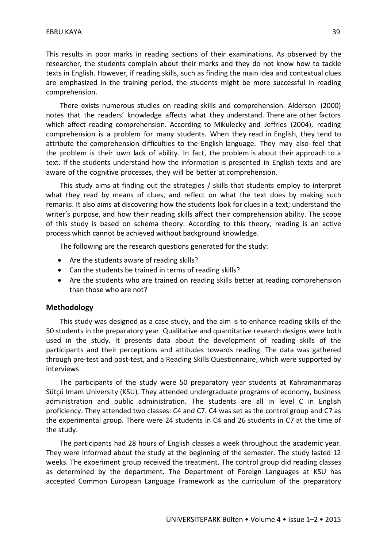This results in poor marks in reading sections of their examinations. As observed by the researcher, the students complain about their marks and they do not know how to tackle texts in English. However, if reading skills, such as finding the main idea and contextual clues are emphasized in the training period, the students might be more successful in reading comprehension.

There exists numerous studies on reading skills and comprehension. Alderson (2000) notes that the readers' knowledge affects what they understand. There are other factors which affect reading comprehension. According to Mikulecky and Jeffries (2004), reading comprehension is a problem for many students. When they read in English, they tend to attribute the comprehension difficulties to the English language. They may also feel that the problem is their own lack of ability. In fact, the problem is about their approach to a text. If the students understand how the information is presented in English texts and are aware of the cognitive processes, they will be better at comprehension.

This study aims at finding out the strategies / skills that students employ to interpret what they read by means of clues, and reflect on what the text does by making such remarks. It also aims at discovering how the students look for clues in a text; understand the writer's purpose, and how their reading skills affect their comprehension ability. The scope of this study is based on schema theory. According to this theory, reading is an active process which cannot be achieved without background knowledge.

The following are the research questions generated for the study:

- Are the students aware of reading skills?
- Can the students be trained in terms of reading skills?
- Are the students who are trained on reading skills better at reading comprehension than those who are not?

#### **Methodology**

This study was designed as a case study, and the aim is to enhance reading skills of the 50 students in the preparatory year. Qualitative and quantitative research designs were both used in the study. It presents data about the development of reading skills of the participants and their perceptions and attitudes towards reading. The data was gathered through pre-test and post-test, and a Reading Skills Questionnaire, which were supported by interviews.

The participants of the study were 50 preparatory year students at Kahramanmaraş Sütçü Imam University (KSU). They attended undergraduate programs of economy, business administration and public administration. The students are all in level C in English proficiency. They attended two classes: C4 and C7. C4 was set as the control group and C7 as the experimental group. There were 24 students in C4 and 26 students in C7 at the time of the study.

The participants had 28 hours of English classes a week throughout the academic year. They were informed about the study at the beginning of the semester. The study lasted 12 weeks. The experiment group received the treatment. The control group did reading classes as determined by the department. The Department of Foreign Languages at KSU has accepted Common European Language Framework as the curriculum of the preparatory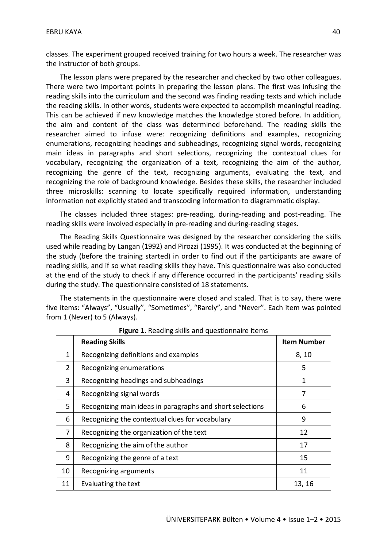classes. The experiment grouped received training for two hours a week. The researcher was the instructor of both groups.

The lesson plans were prepared by the researcher and checked by two other colleagues. There were two important points in preparing the lesson plans. The first was infusing the reading skills into the curriculum and the second was finding reading texts and which include the reading skills. In other words, students were expected to accomplish meaningful reading. This can be achieved if new knowledge matches the knowledge stored before. In addition, the aim and content of the class was determined beforehand. The reading skills the researcher aimed to infuse were: recognizing definitions and examples, recognizing enumerations, recognizing headings and subheadings, recognizing signal words, recognizing main ideas in paragraphs and short selections, recognizing the contextual clues for vocabulary, recognizing the organization of a text, recognizing the aim of the author, recognizing the genre of the text, recognizing arguments, evaluating the text, and recognizing the role of background knowledge. Besides these skills, the researcher included three microskills: scanning to locate specifically required information, understanding information not explicitly stated and transcoding information to diagrammatic display.

The classes included three stages: pre-reading, during-reading and post-reading. The reading skills were involved especially in pre-reading and during-reading stages.

The Reading Skills Questionnaire was designed by the researcher considering the skills used while reading by Langan (1992) and Pirozzi (1995). It was conducted at the beginning of the study (before the training started) in order to find out if the participants are aware of reading skills, and if so what reading skills they have. This questionnaire was also conducted at the end of the study to check if any difference occurred in the participants' reading skills during the study. The questionnaire consisted of 18 statements.

The statements in the questionnaire were closed and scaled. That is to say, there were five items: "Always", "Usually", "Sometimes", "Rarely", and "Never". Each item was pointed from 1 (Never) to 5 (Always).

|    | <b>Reading Skills</b>                                     | <b>Item Number</b> |
|----|-----------------------------------------------------------|--------------------|
| 1  | Recognizing definitions and examples                      | 8, 10              |
| 2  | Recognizing enumerations                                  | 5                  |
| 3  | Recognizing headings and subheadings                      | 1                  |
| 4  | Recognizing signal words                                  | 7                  |
| 5  | Recognizing main ideas in paragraphs and short selections | 6                  |
| 6  | Recognizing the contextual clues for vocabulary           | 9                  |
| 7  | Recognizing the organization of the text                  | 12                 |
| 8  | Recognizing the aim of the author                         | 17                 |
| 9  | Recognizing the genre of a text                           | 15                 |
| 10 | Recognizing arguments                                     | 11                 |
| 11 | Evaluating the text                                       | 13, 16             |

**Figure 1.** Reading skills and questionnaire items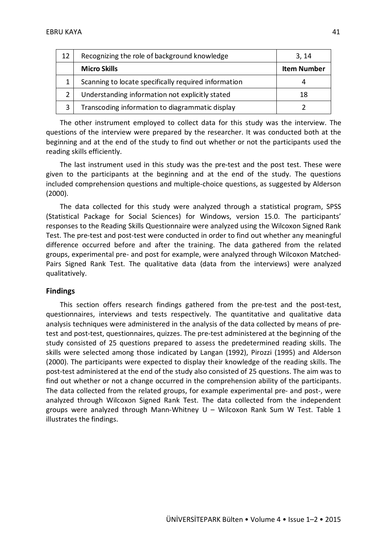| 12           | Recognizing the role of background knowledge         | 3.14               |
|--------------|------------------------------------------------------|--------------------|
|              | <b>Micro Skills</b>                                  | <b>Item Number</b> |
|              | Scanning to locate specifically required information |                    |
|              | Understanding information not explicitly stated      | 18                 |
| $\mathbf{a}$ | Transcoding information to diagrammatic display      |                    |

The other instrument employed to collect data for this study was the interview. The questions of the interview were prepared by the researcher. It was conducted both at the beginning and at the end of the study to find out whether or not the participants used the reading skills efficiently.

The last instrument used in this study was the pre-test and the post test. These were given to the participants at the beginning and at the end of the study. The questions included comprehension questions and multiple-choice questions, as suggested by Alderson (2000).

The data collected for this study were analyzed through a statistical program, SPSS (Statistical Package for Social Sciences) for Windows, version 15.0. The participants' responses to the Reading Skills Questionnaire were analyzed using the Wilcoxon Signed Rank Test. The pre-test and post-test were conducted in order to find out whether any meaningful difference occurred before and after the training. The data gathered from the related groups, experimental pre- and post for example, were analyzed through Wilcoxon Matched-Pairs Signed Rank Test. The qualitative data (data from the interviews) were analyzed qualitatively.

#### **Findings**

This section offers research findings gathered from the pre-test and the post-test, questionnaires, interviews and tests respectively. The quantitative and qualitative data analysis techniques were administered in the analysis of the data collected by means of pretest and post-test, questionnaires, quizzes. The pre-test administered at the beginning of the study consisted of 25 questions prepared to assess the predetermined reading skills. The skills were selected among those indicated by Langan (1992), Pirozzi (1995) and Alderson (2000). The participants were expected to display their knowledge of the reading skills. The post-test administered at the end of the study also consisted of 25 questions. The aim was to find out whether or not a change occurred in the comprehension ability of the participants. The data collected from the related groups, for example experimental pre- and post-, were analyzed through Wilcoxon Signed Rank Test. The data collected from the independent groups were analyzed through Mann-Whitney  $U - Wilcoxon$  Rank Sum W Test. Table 1 illustrates the findings.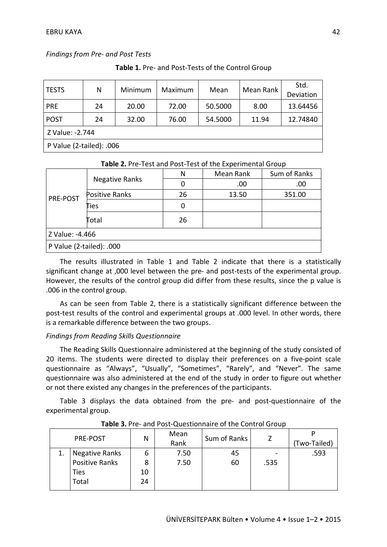*Findings from Pre- and Post Tests*

| <b>TESTS</b>               | N  | Minimum | Maximum | Mean    | Mean Rank | Std.<br>Deviation |  |
|----------------------------|----|---------|---------|---------|-----------|-------------------|--|
| <b>PRE</b>                 | 24 | 20.00   | 72.00   | 50.5000 | 8.00      | 13.64456          |  |
| <b>POST</b>                | 24 | 32.00   | 76.00   | 54.5000 | 11.94     | 12.74840          |  |
| Z Value: -2.744            |    |         |         |         |           |                   |  |
| P Value (2-tailed): $.006$ |    |         |         |         |           |                   |  |

**Table 1.** Pre- and Post-Tests of the Control Group

| <b>Table 2.</b> Pre-Test and Post-Test of the experimental Group |                       |    |           |              |  |  |  |  |
|------------------------------------------------------------------|-----------------------|----|-----------|--------------|--|--|--|--|
|                                                                  |                       | N  | Mean Rank | Sum of Ranks |  |  |  |  |
|                                                                  | <b>Negative Ranks</b> |    | .00       | .00          |  |  |  |  |
| PRE-POST                                                         | <b>Positive Ranks</b> | 26 | 13.50     | 351.00       |  |  |  |  |
|                                                                  | Ties                  | 0  |           |              |  |  |  |  |
|                                                                  | Total                 | 26 |           |              |  |  |  |  |
| Z Value: -4.466                                                  |                       |    |           |              |  |  |  |  |
| P Value (2-tailed): .000                                         |                       |    |           |              |  |  |  |  |

#### **Table 2.** Pre-Test and Post-Test of the Experimental Group

The results illustrated in Table 1 and Table 2 indicate that there is a statistically significant change at ,000 level between the pre- and post-tests of the experimental group. However, the results of the control group did differ from these results, since the p value is .006 in the control group.

As can be seen from Table 2, there is a statistically significant difference between the post-test results of the control and experimental groups at .000 level. In other words, there is a remarkable difference between the two groups.

#### *Findings from Reading Skills Questionnaire*

The Reading Skills Questionnaire administered at the beginning of the study consisted of 20 items. The students were directed to display their preferences on a five-point scale questionnaire as "Always", "Usually", "Sometimes", "Rarely", and "Never". The same questionnaire was also administered at the end of the study in order to figure out whether or not there existed any changes in the preferences of the participants.

Table 3 displays the data obtained from the pre- and post-questionnaire of the experimental group.

| PRE-POST              | N  | Mean<br>Rank | Sum of Ranks |      | (Two-Tailed) |
|-----------------------|----|--------------|--------------|------|--------------|
| Negative Ranks        | 6  | 7.50         | 45           |      | .593         |
| <b>Positive Ranks</b> |    | 7.50         | 60           | .535 |              |
| <b>Ties</b>           | 10 |              |              |      |              |
| Total                 | 24 |              |              |      |              |

**Table 3.** Pre- and Post-Questionnaire of the Control Group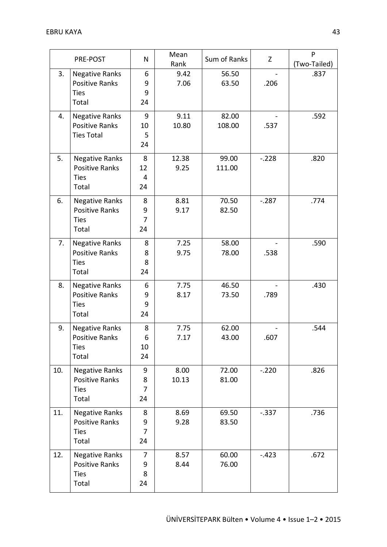|     | PRE-POST                                                               | N                              | Mean<br>Rank  | Sum of Ranks    | Z        | P<br>(Two-Tailed) |
|-----|------------------------------------------------------------------------|--------------------------------|---------------|-----------------|----------|-------------------|
| 3.  | <b>Negative Ranks</b><br><b>Positive Ranks</b><br><b>Ties</b><br>Total | 6<br>9<br>9<br>24              | 9.42<br>7.06  | 56.50<br>63.50  | .206     | .837              |
| 4.  | <b>Negative Ranks</b><br><b>Positive Ranks</b><br><b>Ties Total</b>    | 9<br>10<br>5<br>24             | 9.11<br>10.80 | 82.00<br>108.00 | .537     | .592              |
| 5.  | <b>Negative Ranks</b><br><b>Positive Ranks</b><br><b>Ties</b><br>Total | 8<br>12<br>4<br>24             | 12.38<br>9.25 | 99.00<br>111.00 | $-.228$  | .820              |
| 6.  | <b>Negative Ranks</b><br><b>Positive Ranks</b><br><b>Ties</b><br>Total | 8<br>9<br>7<br>24              | 8.81<br>9.17  | 70.50<br>82.50  | $-.287$  | .774              |
| 7.  | <b>Negative Ranks</b><br><b>Positive Ranks</b><br><b>Ties</b><br>Total | 8<br>8<br>8<br>24              | 7.25<br>9.75  | 58.00<br>78.00  | .538     | .590              |
| 8.  | <b>Negative Ranks</b><br><b>Positive Ranks</b><br><b>Ties</b><br>Total | 6<br>9<br>9<br>24              | 7.75<br>8.17  | 46.50<br>73.50  | .789     | .430              |
| 9.  | <b>Negative Ranks</b><br><b>Positive Ranks</b><br><b>Ties</b><br>Total | 8<br>6<br>10<br>24             | 7.75<br>7.17  | 62.00<br>43.00  | .607     | .544              |
| 10. | <b>Negative Ranks</b><br><b>Positive Ranks</b><br><b>Ties</b><br>Total | 9<br>8<br>$\overline{7}$<br>24 | 8.00<br>10.13 | 72.00<br>81.00  | $-.220$  | .826              |
| 11. | <b>Negative Ranks</b><br><b>Positive Ranks</b><br><b>Ties</b><br>Total | 8<br>9<br>7<br>24              | 8.69<br>9.28  | 69.50<br>83.50  | $-0.337$ | .736              |
| 12. | <b>Negative Ranks</b><br>Positive Ranks<br><b>Ties</b><br>Total        | 7<br>9<br>8<br>24              | 8.57<br>8.44  | 60.00<br>76.00  | $-.423$  | .672              |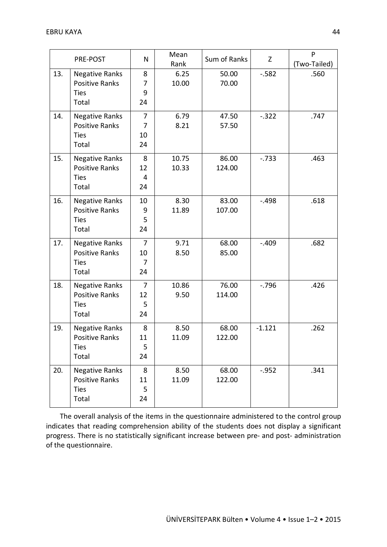|     | PRE-POST                                                               | N                                            | Mean<br>Rank   | Sum of Ranks    | Z        | P<br>(Two-Tailed) |
|-----|------------------------------------------------------------------------|----------------------------------------------|----------------|-----------------|----------|-------------------|
| 13. | <b>Negative Ranks</b><br><b>Positive Ranks</b><br><b>Ties</b><br>Total | 8<br>7<br>9<br>24                            | 6.25<br>10.00  | 50.00<br>70.00  | $-582$   | .560              |
| 14. | <b>Negative Ranks</b><br>Positive Ranks<br><b>Ties</b><br>Total        | 7<br>7<br>10<br>24                           | 6.79<br>8.21   | 47.50<br>57.50  | $-.322$  | .747              |
| 15. | <b>Negative Ranks</b><br><b>Positive Ranks</b><br><b>Ties</b><br>Total | 8<br>12<br>4<br>24                           | 10.75<br>10.33 | 86.00<br>124.00 | $-733$   | .463              |
| 16. | <b>Negative Ranks</b><br><b>Positive Ranks</b><br><b>Ties</b><br>Total | 10<br>9<br>5<br>24                           | 8.30<br>11.89  | 83.00<br>107.00 | $-.498$  | .618              |
| 17. | <b>Negative Ranks</b><br>Positive Ranks<br><b>Ties</b><br>Total        | $\overline{7}$<br>10<br>$\overline{7}$<br>24 | 9.71<br>8.50   | 68.00<br>85.00  | $-.409$  | .682              |
| 18. | <b>Negative Ranks</b><br><b>Positive Ranks</b><br><b>Ties</b><br>Total | $\overline{7}$<br>12<br>5<br>24              | 10.86<br>9.50  | 76.00<br>114.00 | $-0.796$ | .426              |
| 19. | <b>Negative Ranks</b><br>Positive Ranks<br><b>Ties</b><br>Total        | 8<br>11<br>5<br>24                           | 8.50<br>11.09  | 68.00<br>122.00 | $-1.121$ | .262              |
| 20. | <b>Negative Ranks</b><br><b>Positive Ranks</b><br><b>Ties</b><br>Total | 8<br>11<br>5<br>24                           | 8.50<br>11.09  | 68.00<br>122.00 | $-0.952$ | .341              |

The overall analysis of the items in the questionnaire administered to the control group indicates that reading comprehension ability of the students does not display a significant progress. There is no statistically significant increase between pre- and post- administration of the questionnaire.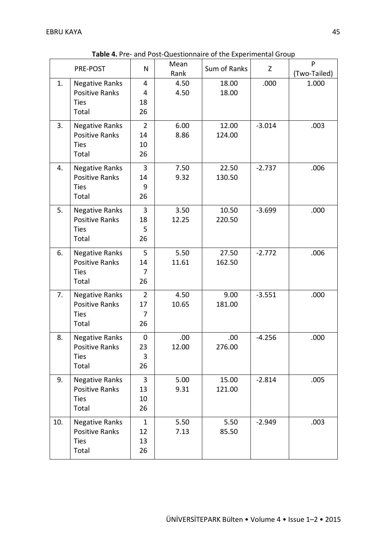|     | PRE-POST                                                               | N                                            | Mean<br>Rank  | Sum of Ranks    | Z        | P<br>(Two-Tailed) |
|-----|------------------------------------------------------------------------|----------------------------------------------|---------------|-----------------|----------|-------------------|
| 1.  | <b>Negative Ranks</b><br><b>Positive Ranks</b><br><b>Ties</b><br>Total | $\overline{4}$<br>4<br>18<br>26              | 4.50<br>4.50  | 18.00<br>18.00  | .000     | 1.000             |
| 3.  | <b>Negative Ranks</b><br>Positive Ranks<br><b>Ties</b><br>Total        | $\overline{2}$<br>14<br>10<br>26             | 6.00<br>8.86  | 12.00<br>124.00 | $-3.014$ | .003              |
| 4.  | <b>Negative Ranks</b><br><b>Positive Ranks</b><br><b>Ties</b><br>Total | $\overline{3}$<br>14<br>9<br>26              | 7.50<br>9.32  | 22.50<br>130.50 | $-2.737$ | .006              |
| 5.  | <b>Negative Ranks</b><br><b>Positive Ranks</b><br><b>Ties</b><br>Total | $\overline{3}$<br>18<br>5<br>26              | 3.50<br>12.25 | 10.50<br>220.50 | $-3.699$ | .000              |
| 6.  | <b>Negative Ranks</b><br><b>Positive Ranks</b><br><b>Ties</b><br>Total | 5<br>14<br>7<br>26                           | 5.50<br>11.61 | 27.50<br>162.50 | $-2.772$ | .006              |
| 7.  | <b>Negative Ranks</b><br><b>Positive Ranks</b><br><b>Ties</b><br>Total | $\overline{2}$<br>17<br>$\overline{7}$<br>26 | 4.50<br>10.65 | 9.00<br>181.00  | $-3.551$ | .000              |
| 8.  | <b>Negative Ranks</b><br>Positive Ranks<br><b>Ties</b><br>Total        | $\pmb{0}$<br>23<br>3<br>26                   | .00.<br>12.00 | .00.<br>276.00  | $-4.256$ | .000              |
| 9.  | <b>Negative Ranks</b><br><b>Positive Ranks</b><br><b>Ties</b><br>Total | $\overline{3}$<br>13<br>10<br>26             | 5.00<br>9.31  | 15.00<br>121.00 | $-2.814$ | .005              |
| 10. | <b>Negative Ranks</b><br><b>Positive Ranks</b><br><b>Ties</b><br>Total | $\mathbf{1}$<br>12<br>13<br>26               | 5.50<br>7.13  | 5.50<br>85.50   | $-2.949$ | .003              |

**Table 4.** Pre- and Post-Questionnaire of the Experimental Group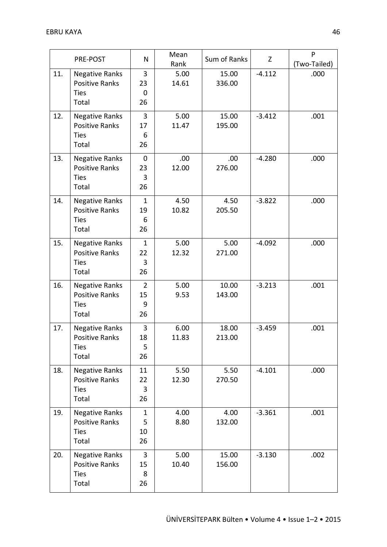|     | PRE-POST                                                               | N                               | Mean<br>Rank  | Sum of Ranks    | Z        | P<br>(Two-Tailed) |
|-----|------------------------------------------------------------------------|---------------------------------|---------------|-----------------|----------|-------------------|
| 11. | <b>Negative Ranks</b><br><b>Positive Ranks</b><br><b>Ties</b><br>Total | $\overline{3}$<br>23<br>0<br>26 | 5.00<br>14.61 | 15.00<br>336.00 | $-4.112$ | .000              |
| 12. | <b>Negative Ranks</b><br><b>Positive Ranks</b><br><b>Ties</b><br>Total | 3<br>17<br>6<br>26              | 5.00<br>11.47 | 15.00<br>195.00 | $-3.412$ | .001              |
| 13. | <b>Negative Ranks</b><br><b>Positive Ranks</b><br><b>Ties</b><br>Total | $\mathbf{0}$<br>23<br>3<br>26   | .00.<br>12.00 | .00<br>276.00   | $-4.280$ | .000              |
| 14. | <b>Negative Ranks</b><br><b>Positive Ranks</b><br><b>Ties</b><br>Total | $\mathbf{1}$<br>19<br>6<br>26   | 4.50<br>10.82 | 4.50<br>205.50  | $-3.822$ | .000              |
| 15. | <b>Negative Ranks</b><br><b>Positive Ranks</b><br><b>Ties</b><br>Total | $\mathbf{1}$<br>22<br>3<br>26   | 5.00<br>12.32 | 5.00<br>271.00  | $-4.092$ | .000              |
| 16. | <b>Negative Ranks</b><br><b>Positive Ranks</b><br><b>Ties</b><br>Total | $\overline{2}$<br>15<br>9<br>26 | 5.00<br>9.53  | 10.00<br>143.00 | $-3.213$ | .001              |
| 17. | <b>Negative Ranks</b><br><b>Positive Ranks</b><br><b>Ties</b><br>Total | 3<br>18<br>5<br>26              | 6.00<br>11.83 | 18.00<br>213.00 | $-3.459$ | .001              |
| 18. | <b>Negative Ranks</b><br>Positive Ranks<br><b>Ties</b><br>Total        | 11<br>22<br>3<br>26             | 5.50<br>12.30 | 5.50<br>270.50  | $-4.101$ | .000              |
| 19. | <b>Negative Ranks</b><br><b>Positive Ranks</b><br><b>Ties</b><br>Total | $\mathbf{1}$<br>5<br>10<br>26   | 4.00<br>8.80  | 4.00<br>132.00  | $-3.361$ | .001              |
| 20. | <b>Negative Ranks</b><br>Positive Ranks<br><b>Ties</b><br>Total        | 3<br>15<br>8<br>26              | 5.00<br>10.40 | 15.00<br>156.00 | $-3.130$ | .002              |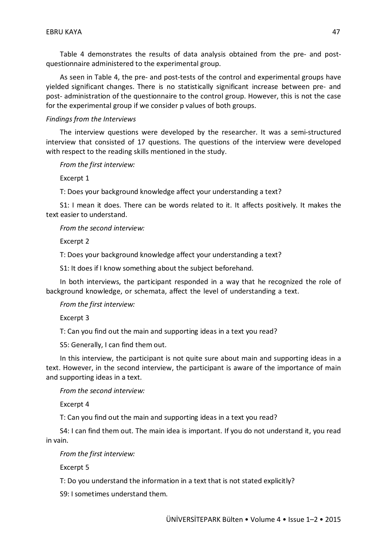Table 4 demonstrates the results of data analysis obtained from the pre- and postquestionnaire administered to the experimental group.

As seen in Table 4, the pre- and post-tests of the control and experimental groups have yielded significant changes. There is no statistically significant increase between pre- and post- administration of the questionnaire to the control group. However, this is not the case for the experimental group if we consider p values of both groups.

#### *Findings from the Interviews*

The interview questions were developed by the researcher. It was a semi-structured interview that consisted of 17 questions. The questions of the interview were developed with respect to the reading skills mentioned in the study.

*From the first interview:*

Excerpt 1

T: Does your background knowledge affect your understanding a text?

S1: I mean it does. There can be words related to it. It affects positively. It makes the text easier to understand.

*From the second interview:*

Excerpt 2

T: Does your background knowledge affect your understanding a text?

S1: It does if I know something about the subject beforehand.

In both interviews, the participant responded in a way that he recognized the role of background knowledge, or schemata, affect the level of understanding a text.

*From the first interview:*

Excerpt 3

T: Can you find out the main and supporting ideas in a text you read?

S5: Generally, I can find them out.

In this interview, the participant is not quite sure about main and supporting ideas in a text. However, in the second interview, the participant is aware of the importance of main and supporting ideas in a text.

*From the second interview:*

Excerpt 4

T: Can you find out the main and supporting ideas in a text you read?

S4: I can find them out. The main idea is important. If you do not understand it, you read in vain.

*From the first interview:*

Excerpt 5

T: Do you understand the information in a text that is not stated explicitly?

S9: I sometimes understand them.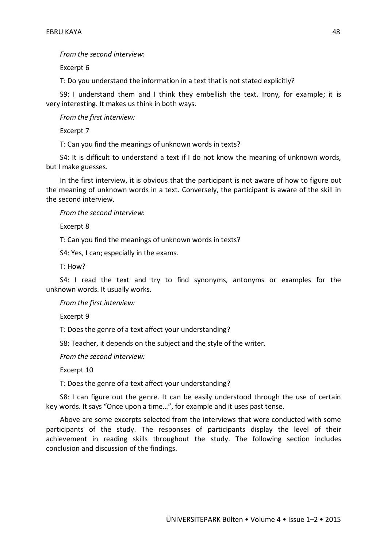*From the second interview:*

Excerpt 6

T: Do you understand the information in a text that is not stated explicitly?

S9: I understand them and I think they embellish the text. Irony, for example; it is very interesting. It makes us think in both ways.

*From the first interview:*

Excerpt 7

T: Can you find the meanings of unknown words in texts?

S4: It is difficult to understand a text if I do not know the meaning of unknown words, but I make guesses.

In the first interview, it is obvious that the participant is not aware of how to figure out the meaning of unknown words in a text. Conversely, the participant is aware of the skill in the second interview.

*From the second interview:*

Excerpt 8

T: Can you find the meanings of unknown words in texts?

S4: Yes, I can; especially in the exams.

T: How?

S4: I read the text and try to find synonyms, antonyms or examples for the unknown words. It usually works.

*From the first interview:*

Excerpt 9

T: Does the genre of a text affect your understanding?

S8: Teacher, it depends on the subject and the style of the writer.

*From the second interview:*

Excerpt 10

T: Does the genre of a text affect your understanding?

S8: I can figure out the genre. It can be easily understood through the use of certain key words. It says "Once upon a time…", for example and it uses past tense.

Above are some excerpts selected from the interviews that were conducted with some participants of the study. The responses of participants display the level of their achievement in reading skills throughout the study. The following section includes conclusion and discussion of the findings.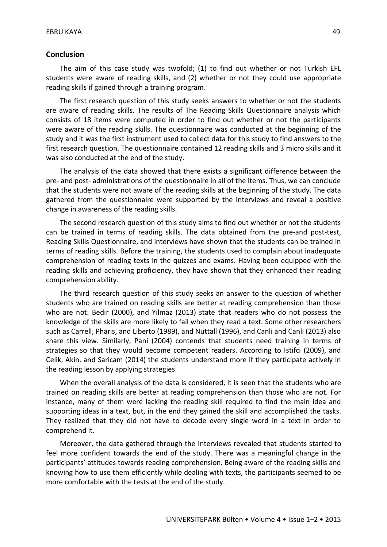#### **Conclusion**

The aim of this case study was twofold; (1) to find out whether or not Turkish EFL students were aware of reading skills, and (2) whether or not they could use appropriate reading skills if gained through a training program.

The first research question of this study seeks answers to whether or not the students are aware of reading skills. The results of The Reading Skills Questionnaire analysis which consists of 18 items were computed in order to find out whether or not the participants were aware of the reading skills. The questionnaire was conducted at the beginning of the study and it was the first instrument used to collect data for this study to find answers to the first research question. The questionnaire contained 12 reading skills and 3 micro skills and it was also conducted at the end of the study.

The analysis of the data showed that there exists a significant difference between the pre- and post- administrations of the questionnaire in all of the items. Thus, we can conclude that the students were not aware of the reading skills at the beginning of the study. The data gathered from the questionnaire were supported by the interviews and reveal a positive change in awareness of the reading skills.

The second research question of this study aims to find out whether or not the students can be trained in terms of reading skills. The data obtained from the pre-and post-test, Reading Skills Questionnaire, and interviews have shown that the students can be trained in terms of reading skills. Before the training, the students used to complain about inadequate comprehension of reading texts in the quizzes and exams. Having been equipped with the reading skills and achieving proficiency, they have shown that they enhanced their reading comprehension ability.

The third research question of this study seeks an answer to the question of whether students who are trained on reading skills are better at reading comprehension than those who are not. Bedir (2000), and Yılmaz (2013) state that readers who do not possess the knowledge of the skills are more likely to fail when they read a text. Some other researchers such as Carrell, Pharis, and Liberto (1989), and Nuttall (1996), and Canli and Canli (2013) also share this view. Similarly, Pani (2004) contends that students need training in terms of strategies so that they would become competent readers. According to Istifci (2009), and Celik, Akin, and Saricam (2014) the students understand more if they participate actively in the reading lesson by applying strategies.

When the overall analysis of the data is considered, it is seen that the students who are trained on reading skills are better at reading comprehension than those who are not. For instance, many of them were lacking the reading skill required to find the main idea and supporting ideas in a text, but, in the end they gained the skill and accomplished the tasks. They realized that they did not have to decode every single word in a text in order to comprehend it.

Moreover, the data gathered through the interviews revealed that students started to feel more confident towards the end of the study. There was a meaningful change in the participants' attitudes towards reading comprehension. Being aware of the reading skills and knowing how to use them efficiently while dealing with texts, the participants seemed to be more comfortable with the tests at the end of the study.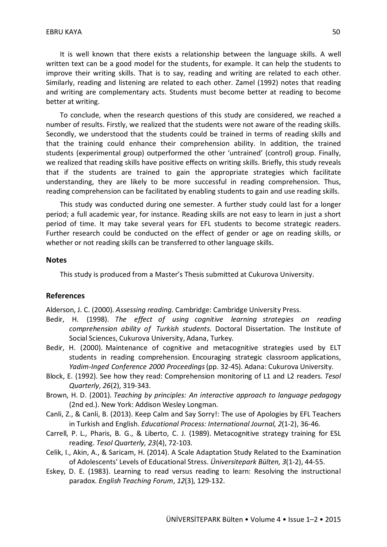It is well known that there exists a relationship between the language skills. A well written text can be a good model for the students, for example. It can help the students to improve their writing skills. That is to say, reading and writing are related to each other. Similarly, reading and listening are related to each other. Zamel (1992) notes that reading and writing are complementary acts. Students must become better at reading to become better at writing.

To conclude, when the research questions of this study are considered, we reached a number of results. Firstly, we realized that the students were not aware of the reading skills. Secondly, we understood that the students could be trained in terms of reading skills and that the training could enhance their comprehension ability. In addition, the trained students (experimental group) outperformed the other 'untrained' (control) group. Finally, we realized that reading skills have positive effects on writing skills. Briefly, this study reveals that if the students are trained to gain the appropriate strategies which facilitate understanding, they are likely to be more successful in reading comprehension. Thus, reading comprehension can be facilitated by enabling students to gain and use reading skills.

This study was conducted during one semester. A further study could last for a longer period; a full academic year, for instance. Reading skills are not easy to learn in just a short period of time. It may take several years for EFL students to become strategic readers. Further research could be conducted on the effect of gender or age on reading skills, or whether or not reading skills can be transferred to other language skills.

#### **Notes**

This study is produced from a Master's Thesis submitted at Cukurova University.

#### **References**

Alderson, J. C. (2000). *Assessing reading.* Cambridge: Cambridge University Press.

- Bedir, H. (1998). *The effect of using cognitive learning strategies on reading comprehension ability of Turkish students*. Doctoral Dissertation. The Institute of Social Sciences, Cukurova University, Adana, Turkey.
- Bedir, H. (2000). Maintenance of cognitive and metacognitive strategies used by ELT students in reading comprehension. Encouraging strategic classroom applications, *Yadim-Inged Conference 2000 Proceedings*(pp. 32-45). Adana: Cukurova University.
- Block, E. (1992). See how they read: Comprehension monitoring of L1 and L2 readers. *Tesol Quarterly*, *26*(2), 319-343.
- Brown, H. D. (2001). *Teaching by principles: An interactive approach to language pedagogy* (2nd ed.). New York: Addison Wesley Longman.
- Canli, Z., & Canli, B. (2013). Keep Calm and Say Sorry!: The use of Apologies by EFL Teachers in Turkish and English. *Educational Process: International Journal, 2*(1-2), 36-46.
- Carrell, P. L., Pharis, B. G., & Liberto, C. J. (1989). Metacognitive strategy training for ESL reading. *Tesol Quarterly, 23*(4), 72-103.
- Celik, I., Akin, A., & Saricam, H. (2014). A Scale Adaptation Study Related to the Examination of Adolescents' Levels of Educational Stress. *Üniversitepark Bülten, 3*(1-2), 44-55.
- Eskey, D. E. (1983). Learning to read versus reading to learn: Resolving the instructional paradox. *English Teaching Forum*, *12*(3), 129-132.